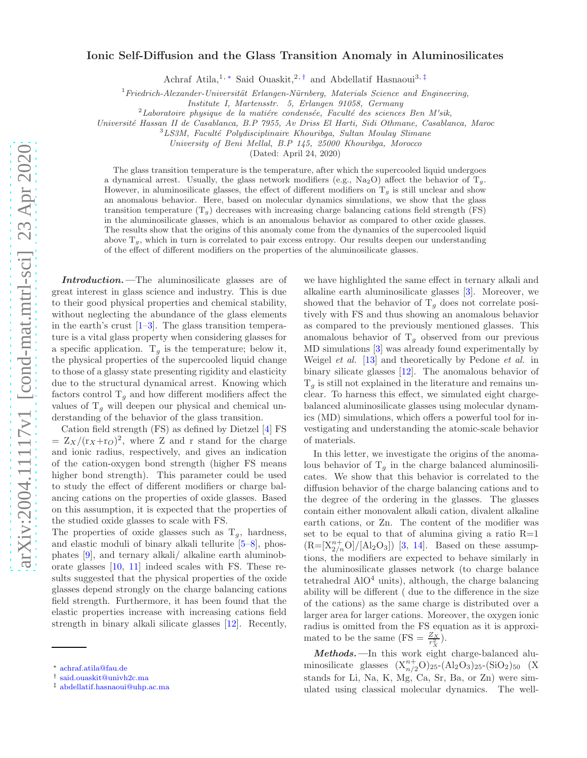## Ionic Self-Diffusion and the Glass Transition Anomaly in Aluminosilicates

Achraf Atila,<sup>1,\*</sup> Said Ouaskit,<sup>2,[†](#page-0-1)</sup> and Abdellatif Hasnaoui<sup>3,[‡](#page-0-2)</sup>

 $1$ Friedrich-Alexander-Universität Erlangen-Nürnberg, Materials Science and Engineering,

Institute I, Martensstr. 5, Erlangen 91058, Germany

 $2$ Laboratoire physique de la matiére condensée, Faculté des sciences Ben M'sik,

Universit´e Hassan II de Casablanca, B.P 7955, Av Driss El Harti, Sidi Othmane, Casablanca, Maroc

<sup>3</sup>LS3M, Faculté Polydisciplinaire Khouribga, Sultan Moulay Slimane

University of Beni Mellal, B.P 145, 25000 Khouribga, Morocco

(Dated: April 24, 2020)

The glass transition temperature is the temperature, after which the supercooled liquid undergoes a dynamical arrest. Usually, the glass network modifiers (e.g.,  $\text{Na}_2\text{O}$ ) affect the behavior of  $\text{T}_q$ . However, in aluminosilicate glasses, the effect of different modifiers on  $T<sub>g</sub>$  is still unclear and show an anomalous behavior. Here, based on molecular dynamics simulations, we show that the glass transition temperature  $(T_g)$  decreases with increasing charge balancing cations field strength (FS) in the aluminosilicate glasses, which is an anomalous behavior as compared to other oxide glasses. The results show that the origins of this anomaly come from the dynamics of the supercooled liquid above  $T_q$ , which in turn is correlated to pair excess entropy. Our results deepen our understanding of the effect of different modifiers on the properties of the aluminosilicate glasses.

Introduction.—The aluminosilicate glasses are of great interest in glass science and industry. This is due to their good physical properties and chemical stability, without neglecting the abundance of the glass elements in the earth's crust  $[1-3]$ . The glass transition temperature is a vital glass property when considering glasses for a specific application.  $T_g$  is the temperature; below it, the physical properties of the supercooled liquid change to those of a glassy state presenting rigidity and elasticity due to the structural dynamical arrest. Knowing which factors control  $T_g$  and how different modifiers affect the values of  $T<sub>g</sub>$  will deepen our physical and chemical understanding of the behavior of the glass transition.

Cation field strength (FS) as defined by Dietzel [\[4](#page-5-2)] FS  $= Z_X/({\rm r}_X+{\rm r}_O)^2$ , where Z and r stand for the charge and ionic radius, respectively, and gives an indication of the cation-oxygen bond strength (higher FS means higher bond strength). This parameter could be used to study the effect of different modifiers or charge balancing cations on the properties of oxide glasses. Based on this assumption, it is expected that the properties of the studied oxide glasses to scale with FS.

The properties of oxide glasses such as  $T_q$ , hardness, and elastic moduli of binary alkali tellurite [\[5](#page-5-3)[–8](#page-5-4)], phosphates [\[9](#page-5-5)], and ternary alkali/ alkaline earth aluminoborate glasses [\[10](#page-5-6), [11\]](#page-5-7) indeed scales with FS. These results suggested that the physical properties of the oxide glasses depend strongly on the charge balancing cations field strength. Furthermore, it has been found that the elastic properties increase with increasing cations field strength in binary alkali silicate glasses [\[12\]](#page-5-8). Recently,

we have highlighted the same effect in ternary alkali and alkaline earth aluminosilicate glasses [\[3\]](#page-5-1). Moreover, we showed that the behavior of  $T_g$  does not correlate positively with FS and thus showing an anomalous behavior as compared to the previously mentioned glasses. This anomalous behavior of  $T_g$  observed from our previous MD simulations [\[3\]](#page-5-1) was already found experimentally by Weigel *et al.* [\[13](#page-5-9)] and theoretically by Pedone *et al.* in binary silicate glasses [\[12\]](#page-5-8). The anomalous behavior of  $T<sub>g</sub>$  is still not explained in the literature and remains unclear. To harness this effect, we simulated eight chargebalanced aluminosilicate glasses using molecular dynamics (MD) simulations, which offers a powerful tool for investigating and understanding the atomic-scale behavior of materials.

In this letter, we investigate the origins of the anomalous behavior of  $T_q$  in the charge balanced aluminosilicates. We show that this behavior is correlated to the diffusion behavior of the charge balancing cations and to the degree of the ordering in the glasses. The glasses contain either monovalent alkali cation, divalent alkaline earth cations, or Zn. The content of the modifier was set to be equal to that of alumina giving a ratio  $R=1$  $(R=[X_{2/n}^{n+}O]/[Al_2O_3])$  [\[3,](#page-5-1) [14](#page-5-10)]. Based on these assumptions, the modifiers are expected to behave similarly in the aluminosilicate glasses network (to charge balance tetrahedral  $AIO<sup>4</sup>$  units), although, the charge balancing ability will be different ( due to the difference in the size of the cations) as the same charge is distributed over a larger area for larger cations. Moreover, the oxygen ionic radius is omitted from the FS equation as it is approximated to be the same  $(FS = \frac{Z_X}{r_X^2})$ .

Methods.—In this work eight charge-balanced aluminosilicate glasses  $(X_{n/2}^{n+}O)_{25}$ - $(Al_2O_3)_{25}$ - $(SiO_2)_{50}$  (X stands for Li, Na, K, Mg, Ca, Sr, Ba, or Zn) were simulated using classical molecular dynamics. The well-

<span id="page-0-0"></span><sup>∗</sup> [achraf.atila@fau.de](mailto:achraf.atila@fau.de)

<span id="page-0-1"></span><sup>†</sup> [said.ouaskit@univh2c.ma](mailto:said.ouaskit@univh2c.ma)

<span id="page-0-2"></span><sup>‡</sup> [abdellatif.hasnaoui@uhp.ac.ma](mailto:abdellatif.hasnaoui@uhp.ac.ma)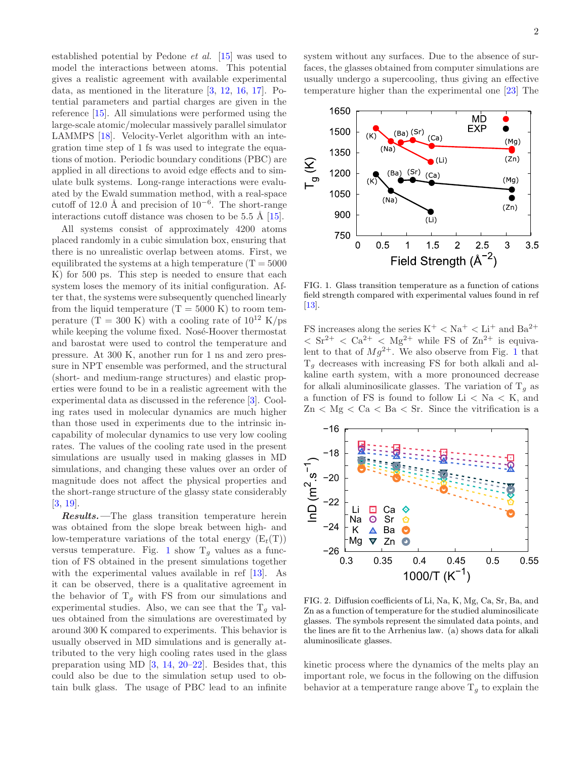established potential by Pedone et al. [\[15](#page-5-11)] was used to model the interactions between atoms. This potential gives a realistic agreement with available experimental data, as mentioned in the literature [\[3](#page-5-1), [12,](#page-5-8) [16,](#page-5-12) [17\]](#page-5-13). Potential parameters and partial charges are given in the reference [\[15\]](#page-5-11). All simulations were performed using the large-scale atomic/molecular massively parallel simulator LAMMPS [\[18\]](#page-5-14). Velocity-Verlet algorithm with an integration time step of 1 fs was used to integrate the equations of motion. Periodic boundary conditions (PBC) are applied in all directions to avoid edge effects and to simulate bulk systems. Long-range interactions were evaluated by the Ewald summation method, with a real-space cutoff of 12.0 Å and precision of  $10^{-6}$ . The short-range interactions cutoff distance was chosen to be  $5.5 \text{ Å } [15]$  $5.5 \text{ Å } [15]$  $5.5 \text{ Å } [15]$ .

All systems consist of approximately 4200 atoms placed randomly in a cubic simulation box, ensuring that there is no unrealistic overlap between atoms. First, we equilibrated the systems at a high temperature  $(T = 5000$ K) for 500 ps. This step is needed to ensure that each system loses the memory of its initial configuration. After that, the systems were subsequently quenched linearly from the liquid temperature  $(T = 5000 \text{ K})$  to room temperature  $(T = 300 \text{ K})$  with a cooling rate of  $10^{12} \text{ K}/\text{ps}$ while keeping the volume fixed. Nosé-Hoover thermostat and barostat were used to control the temperature and pressure. At 300 K, another run for 1 ns and zero pressure in NPT ensemble was performed, and the structural (short- and medium-range structures) and elastic properties were found to be in a realistic agreement with the experimental data as discussed in the reference [\[3\]](#page-5-1). Cooling rates used in molecular dynamics are much higher than those used in experiments due to the intrinsic incapability of molecular dynamics to use very low cooling rates. The values of the cooling rate used in the present simulations are usually used in making glasses in MD simulations, and changing these values over an order of magnitude does not affect the physical properties and the short-range structure of the glassy state considerably [\[3,](#page-5-1) [19\]](#page-5-15).

Results.—The glass transition temperature herein was obtained from the slope break between high- and low-temperature variations of the total energy  $(E_t(T))$ versus temperature. Fig. [1](#page-1-0) show  $T_g$  values as a function of FS obtained in the present simulations together with the experimental values available in ref [\[13](#page-5-9)]. As it can be observed, there is a qualitative agreement in the behavior of  $T_q$  with FS from our simulations and experimental studies. Also, we can see that the  $T_g$  values obtained from the simulations are overestimated by around 300 K compared to experiments. This behavior is usually observed in MD simulations and is generally attributed to the very high cooling rates used in the glass preparation using MD  $[3, 14, 20-22]$  $[3, 14, 20-22]$  $[3, 14, 20-22]$  $[3, 14, 20-22]$  $[3, 14, 20-22]$ . Besides that, this could also be due to the simulation setup used to obtain bulk glass. The usage of PBC lead to an infinite

system without any surfaces. Due to the absence of surfaces, the glasses obtained from computer simulations are usually undergo a supercooling, thus giving an effective temperature higher than the experimental one [\[23](#page-5-18)] The



<span id="page-1-0"></span>FIG. 1. Glass transition temperature as a function of cations field strength compared with experimental values found in ref [\[13\]](#page-5-9).

FS increases along the series  $K^+ < Na^+ < Li^+$  and  $Ba^{2+}$  $<$  Sr<sup>2+</sup>  $<$  Ca<sup>2+</sup>  $<$  Mg<sup>2+</sup> while FS of Zn<sup>2+</sup> is equivalent to that of  $Mg^{2+}$ . We also observe from Fig. [1](#page-1-0) that  $T_q$  decreases with increasing FS for both alkali and alkaline earth system, with a more pronounced decrease for alkali aluminosilicate glasses. The variation of  $T<sub>q</sub>$  as a function of FS is found to follow  $Li < Na < K$ , and  $Zn < Mg < Ca < Ba < Sr$ . Since the vitrification is a



<span id="page-1-1"></span>FIG. 2. Diffusion coefficients of Li, Na, K, Mg, Ca, Sr, Ba, and Zn as a function of temperature for the studied aluminosilicate glasses. The symbols represent the simulated data points, and the lines are fit to the Arrhenius law. (a) shows data for alkali aluminosilicate glasses.

kinetic process where the dynamics of the melts play an important role, we focus in the following on the diffusion behavior at a temperature range above  $T<sub>g</sub>$  to explain the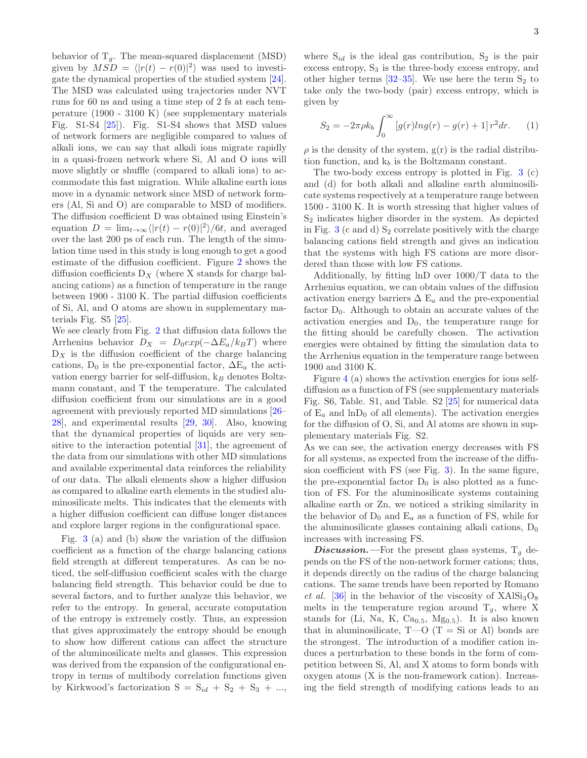behavior of  $T_q$ . The mean-squared displacement (MSD) given by  $MSD = \langle |r(t) - r(0)|^2 \rangle$  was used to investigate the dynamical properties of the studied system [\[24\]](#page-5-19). The MSD was calculated using trajectories under NVT runs for 60 ns and using a time step of 2 fs at each temperature (1900 - 3100 K) (see supplementary materials Fig. S1-S4 [\[25](#page-5-20)]). Fig. S1-S4 shows that MSD values of network formers are negligible compared to values of alkali ions, we can say that alkali ions migrate rapidly in a quasi-frozen network where Si, Al and O ions will move slightly or shuffle (compared to alkali ions) to accommodate this fast migration. While alkaline earth ions move in a dynamic network since MSD of network formers (Al, Si and O) are comparable to MSD of modifiers. The diffusion coefficient D was obtained using Einstein's equation  $D = \lim_{t \to \infty} \langle |r(t) - r(0)|^2 \rangle / 6t$ , and averaged over the last 200 ps of each run. The length of the simulation time used in this study is long enough to get a good estimate of the diffusion coefficient. Figure [2](#page-1-1) shows the diffusion coefficients  $D_X$  (where X stands for charge balancing cations) as a function of temperature in the range between 1900 - 3100 K. The partial diffusion coefficients of Si, Al, and O atoms are shown in supplementary materials Fig. S5 [\[25](#page-5-20)].

We see clearly from Fig. [2](#page-1-1) that diffusion data follows the Arrhenius behavior  $D_X = D_0 exp(-\Delta E_a/k_B T)$  where  $D_X$  is the diffusion coefficient of the charge balancing cations,  $D_0$  is the pre-exponential factor,  $\Delta E_a$  the activation energy barrier for self-diffusion,  $k_B$  denotes Boltzmann constant, and T the temperature. The calculated diffusion coefficient from our simulations are in a good agreement with previously reported MD simulations [\[26](#page-5-21)– [28\]](#page-5-22), and experimental results [\[29](#page-5-23), [30\]](#page-5-24). Also, knowing that the dynamical properties of liquids are very sensitive to the interaction potential [\[31](#page-5-25)], the agreement of the data from our simulations with other MD simulations and available experimental data reinforces the reliability of our data. The alkali elements show a higher diffusion as compared to alkaline earth elements in the studied aluminosilicate melts. This indicates that the elements with a higher diffusion coefficient can diffuse longer distances and explore larger regions in the configurational space.

Fig. [3](#page-3-0) (a) and (b) show the variation of the diffusion coefficient as a function of the charge balancing cations field strength at different temperatures. As can be noticed, the self-diffusion coefficient scales with the charge balancing field strength. This behavior could be due to several factors, and to further analyze this behavior, we refer to the entropy. In general, accurate computation of the entropy is extremely costly. Thus, an expression that gives approximately the entropy should be enough to show how different cations can affect the structure of the aluminosilicate melts and glasses. This expression was derived from the expansion of the configurational entropy in terms of multibody correlation functions given by Kirkwood's factorization  $S = S_{id} + S_2 + S_3 + \ldots$ ,

where  $S_{id}$  is the ideal gas contribution,  $S_2$  is the pair excess entropy,  $S_3$  is the three-body excess entropy, and other higher terms  $[32-35]$ . We use here the term  $S_2$  to take only the two-body (pair) excess entropy, which is given by

$$
S_2 = -2\pi \rho k_b \int_0^\infty \left[ g(r) \ln g(r) - g(r) + 1 \right] r^2 dr. \tag{1}
$$

 $\rho$  is the density of the system,  $g(r)$  is the radial distribution function, and  $k_b$  is the Boltzmann constant.

The two-body excess entropy is plotted in Fig. [3](#page-3-0) (c) and (d) for both alkali and alkaline earth aluminosilicate systems respectively at a temperature range between 1500 - 3100 K. It is worth stressing that higher values of S<sup>2</sup> indicates higher disorder in the system. As depicted in Fig. [3](#page-3-0) (c and d)  $S_2$  correlate positively with the charge balancing cations field strength and gives an indication that the systems with high FS cations are more disordered than those with low FS cations.

Additionally, by fitting lnD over 1000/T data to the Arrhenius equation, we can obtain values of the diffusion activation energy barriers  $\Delta E_a$  and the pre-exponential factor  $D_0$ . Although to obtain an accurate values of the activation energies and  $D_0$ , the temperature range for the fitting should be carefully chosen. The activation energies were obtained by fitting the simulation data to the Arrhenius equation in the temperature range between 1900 and 3100 K.

Figure [4](#page-4-0) (a) shows the activation energies for ions selfdiffusion as a function of FS (see supplementary materials Fig. S6, Table. S1, and Table. S2 [\[25\]](#page-5-20) for numerical data of  $E_a$  and  $\ln D_0$  of all elements). The activation energies for the diffusion of O, Si, and Al atoms are shown in supplementary materials Fig. S2.

As we can see, the activation energy decreases with FS for all systems, as expected from the increase of the diffusion coefficient with FS (see Fig. [3\)](#page-3-0). In the same figure, the pre-exponential factor  $D_0$  is also plotted as a function of FS. For the aluminosilicate systems containing alkaline earth or Zn, we noticed a striking similarity in the behavior of  $D_0$  and  $E_a$  as a function of FS, while for the aluminosilicate glasses containing alkali cations,  $D_0$ increases with increasing FS.

**Discussion.**—For the present glass systems,  $T<sub>g</sub>$  depends on the FS of the non-network former cations; thus, it depends directly on the radius of the charge balancing cations. The same trends have been reported by Romano et al. [\[36\]](#page-5-28) in the behavior of the viscosity of  $XAlSi<sub>3</sub>O<sub>8</sub>$ melts in the temperature region around  $T_q$ , where X stands for (Li, Na, K, Ca<sub>0.5</sub>, Mg<sub>0.5</sub>). It is also known that in aluminosilicate,  $T-O$  ( $T = Si$  or Al) bonds are the strongest. The introduction of a modifier cation induces a perturbation to these bonds in the form of competition between Si, Al, and X atoms to form bonds with oxygen atoms (X is the non-framework cation). Increasing the field strength of modifying cations leads to an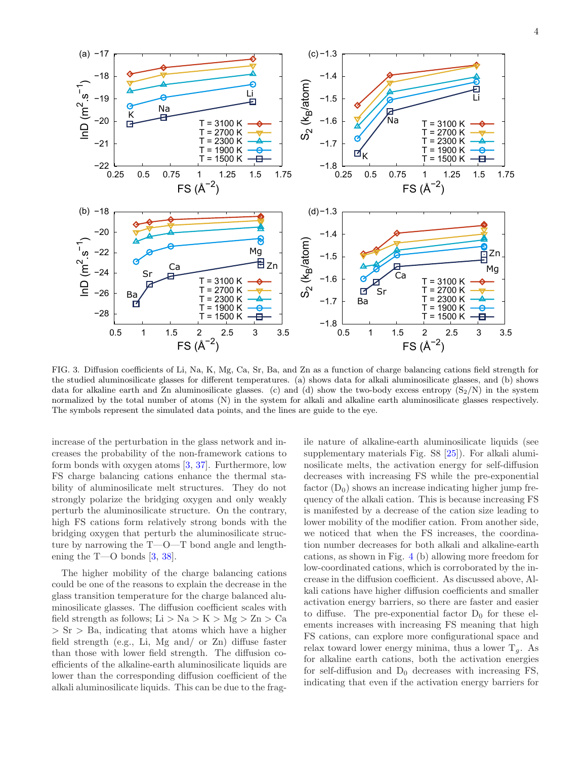

<span id="page-3-0"></span>FIG. 3. Diffusion coefficients of Li, Na, K, Mg, Ca, Sr, Ba, and Zn as a function of charge balancing cations field strength for the studied aluminosilicate glasses for different temperatures. (a) shows data for alkali aluminosilicate glasses, and (b) shows data for alkaline earth and Zn aluminosilicate glasses. (c) and (d) show the two-body excess entropy  $(S_2/N)$  in the system normalized by the total number of atoms (N) in the system for alkali and alkaline earth aluminosilicate glasses respectively. The symbols represent the simulated data points, and the lines are guide to the eye.

increase of the perturbation in the glass network and increases the probability of the non-framework cations to form bonds with oxygen atoms [\[3](#page-5-1), [37](#page-5-29)]. Furthermore, low FS charge balancing cations enhance the thermal stability of aluminosilicate melt structures. They do not strongly polarize the bridging oxygen and only weakly perturb the aluminosilicate structure. On the contrary, high FS cations form relatively strong bonds with the bridging oxygen that perturb the aluminosilicate structure by narrowing the T—O—T bond angle and lengthening the T—O bonds [\[3,](#page-5-1) [38\]](#page-5-30).

The higher mobility of the charge balancing cations could be one of the reasons to explain the decrease in the glass transition temperature for the charge balanced aluminosilicate glasses. The diffusion coefficient scales with field strength as follows; Li > Na > K > Mg > Zn > Ca  $>$  Sr  $>$  Ba, indicating that atoms which have a higher field strength (e.g., Li, Mg and/ or Zn) diffuse faster than those with lower field strength. The diffusion coefficients of the alkaline-earth aluminosilicate liquids are lower than the corresponding diffusion coefficient of the alkali aluminosilicate liquids. This can be due to the frag-

ile nature of alkaline-earth aluminosilicate liquids (see supplementary materials Fig. S8 [\[25\]](#page-5-20)). For alkali aluminosilicate melts, the activation energy for self-diffusion decreases with increasing FS while the pre-exponential factor  $(D_0)$  shows an increase indicating higher jump frequency of the alkali cation. This is because increasing FS is manifested by a decrease of the cation size leading to lower mobility of the modifier cation. From another side, we noticed that when the FS increases, the coordination number decreases for both alkali and alkaline-earth cations, as shown in Fig. [4](#page-4-0) (b) allowing more freedom for low-coordinated cations, which is corroborated by the increase in the diffusion coefficient. As discussed above, Alkali cations have higher diffusion coefficients and smaller activation energy barriers, so there are faster and easier to diffuse. The pre-exponential factor  $D_0$  for these elements increases with increasing FS meaning that high FS cations, can explore more configurational space and relax toward lower energy minima, thus a lower  $T<sub>q</sub>$ . As for alkaline earth cations, both the activation energies for self-diffusion and  $D_0$  decreases with increasing FS, indicating that even if the activation energy barriers for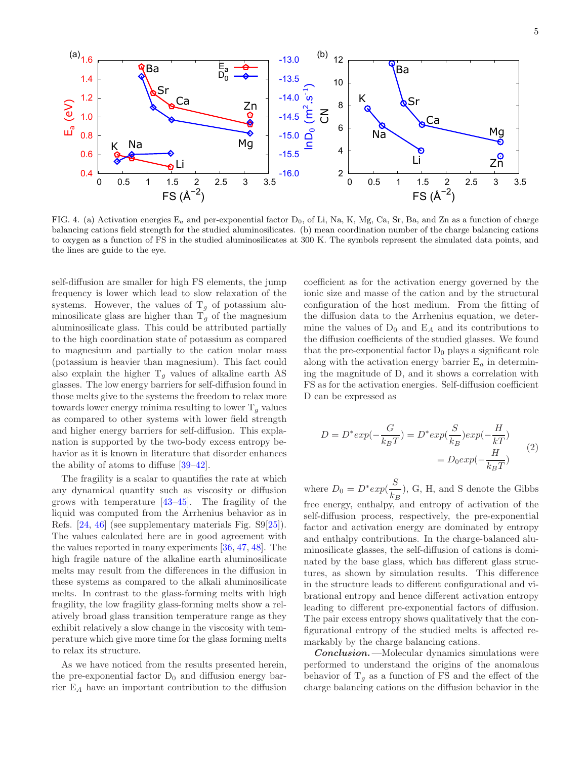

<span id="page-4-0"></span>FIG. 4. (a) Activation energies  $E_a$  and per-exponential factor  $D_0$ , of Li, Na, K, Mg, Ca, Sr, Ba, and Zn as a function of charge balancing cations field strength for the studied aluminosilicates. (b) mean coordination number of the charge balancing cations to oxygen as a function of FS in the studied aluminosilicates at 300 K. The symbols represent the simulated data points, and the lines are guide to the eye.

self-diffusion are smaller for high FS elements, the jump frequency is lower which lead to slow relaxation of the systems. However, the values of  $T<sub>g</sub>$  of potassium aluminosilicate glass are higher than  $T<sub>q</sub>$  of the magnesium aluminosilicate glass. This could be attributed partially to the high coordination state of potassium as compared to magnesium and partially to the cation molar mass (potassium is heavier than magnesium). This fact could also explain the higher  $T_g$  values of alkaline earth AS glasses. The low energy barriers for self-diffusion found in those melts give to the systems the freedom to relax more towards lower energy minima resulting to lower  $T<sub>q</sub>$  values as compared to other systems with lower field strength and higher energy barriers for self-diffusion. This explanation is supported by the two-body excess entropy behavior as it is known in literature that disorder enhances the ability of atoms to diffuse [\[39](#page-5-31)[–42](#page-5-32)].

The fragility is a scalar to quantifies the rate at which any dynamical quantity such as viscosity or diffusion grows with temperature [\[43](#page-5-33)[–45\]](#page-5-34). The fragility of the liquid was computed from the Arrhenius behavior as in Refs. [\[24,](#page-5-19) [46\]](#page-5-35) (see supplementary materials Fig. S9[\[25\]](#page-5-20)). The values calculated here are in good agreement with the values reported in many experiments [\[36](#page-5-28), [47](#page-5-36), [48](#page-5-37)]. The high fragile nature of the alkaline earth aluminosilicate melts may result from the differences in the diffusion in these systems as compared to the alkali aluminosilicate melts. In contrast to the glass-forming melts with high fragility, the low fragility glass-forming melts show a relatively broad glass transition temperature range as they exhibit relatively a slow change in the viscosity with temperature which give more time for the glass forming melts to relax its structure.

As we have noticed from the results presented herein, the pre-exponential factor  $D_0$  and diffusion energy barrier $\mathord{\text{\rm E}}_{A}$  have an important contribution to the diffusion

coefficient as for the activation energy governed by the ionic size and masse of the cation and by the structural configuration of the host medium. From the fitting of the diffusion data to the Arrhenius equation, we determine the values of  $D_0$  and  $E_A$  and its contributions to the diffusion coefficients of the studied glasses. We found that the pre-exponential factor  $D_0$  plays a significant role along with the activation energy barrier  $E_a$  in determining the magnitude of D, and it shows a correlation with FS as for the activation energies. Self-diffusion coefficient D can be expressed as

$$
D = D^* exp(-\frac{G}{k_B T}) = D^* exp(\frac{S}{k_B}) exp(-\frac{H}{k T})
$$
  
= 
$$
D_0 exp(-\frac{H}{k_B T})
$$
 (2)

where  $D_0 = D^* exp(\frac{S}{L})$  $\frac{\epsilon}{k_B}$ , G, H, and S denote the Gibbs free energy, enthalpy, and entropy of activation of the self-diffusion process, respectively, the pre-exponential factor and activation energy are dominated by entropy and enthalpy contributions. In the charge-balanced aluminosilicate glasses, the self-diffusion of cations is dominated by the base glass, which has different glass structures, as shown by simulation results. This difference in the structure leads to different configurational and vibrational entropy and hence different activation entropy leading to different pre-exponential factors of diffusion. The pair excess entropy shows qualitatively that the configurational entropy of the studied melts is affected remarkably by the charge balancing cations.

Conclusion.—Molecular dynamics simulations were performed to understand the origins of the anomalous behavior of  $T_q$  as a function of FS and the effect of the charge balancing cations on the diffusion behavior in the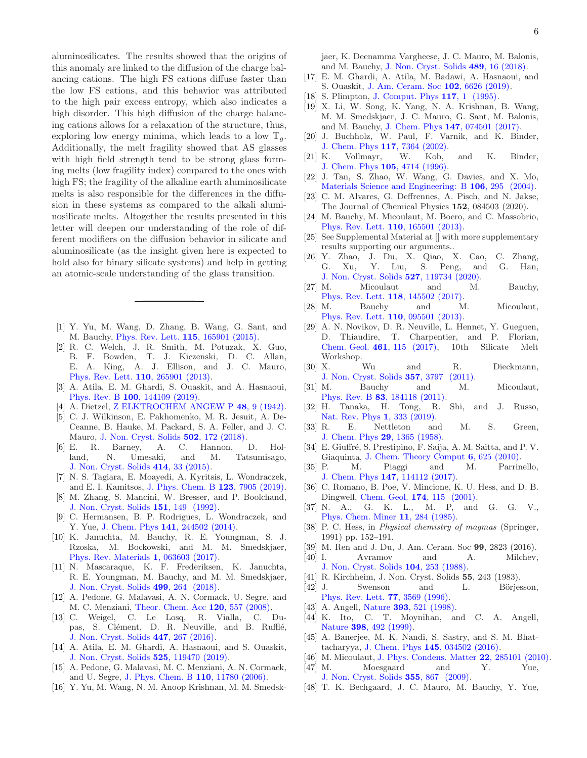aluminosilicates. The results showed that the origins of this anomaly are linked to the diffusion of the charge balancing cations. The high FS cations diffuse faster than the low FS cations, and this behavior was attributed to the high pair excess entropy, which also indicates a high disorder. This high diffusion of the charge balancing cations allows for a relaxation of the structure, thus, exploring low energy minima, which leads to a low  $T_a$ . Additionally, the melt fragility showed that AS glasses with high field strength tend to be strong glass forming melts (low fragility index) compared to the ones with high FS; the fragility of the alkaline earth aluminosilicate melts is also responsible for the differences in the diffusion in these systems as compared to the alkali aluminosilicate melts. Altogether the results presented in this letter will deepen our understanding of the role of different modifiers on the diffusion behavior in silicate and aluminosilicate (as the insight given here is expected to hold also for binary silicate systems) and help in getting an atomic-scale understanding of the glass transition.

- <span id="page-5-0"></span>[1] Y. Yu, M. Wang, D. Zhang, B. Wang, G. Sant, and M. Bauchy, [Phys. Rev. Lett.](https://doi.org/10.1103/PhysRevLett.115.165901) 115, 165901 (2015).
- [2] R. C. Welch, J. R. Smith, M. Potuzak, X. Guo, B. F. Bowden, T. J. Kiczenski, D. C. Allan, E. A. King, A. J. Ellison, and J. C. Mauro, [Phys. Rev. Lett.](https://doi.org/10.1103/PhysRevLett.110.265901) 110, 265901 (2013).
- <span id="page-5-1"></span>[3] A. Atila, E. M. Ghardi, S. Ouaskit, and A. Hasnaoui, Phys. Rev. B 100[, 144109 \(2019\).](https://doi.org/10.1103/PhysRevB.100.144109)
- <span id="page-5-2"></span>[4] A. Dietzel, [Z ELKTROCHEM ANGEW P](https://doi.org/10.1002/bbpc.19420480104) 48, 9 (1942).
- <span id="page-5-3"></span>[5] C. J. Wilkinson, E. Pakhomenko, M. R. Jesuit, A. De-Ceanne, B. Hauke, M. Packard, S. A. Feller, and J. C. Mauro, [J. Non. Cryst. Solids](https://doi.org/10.1016/j.jnoncrysol.2018.08.036) 502, 172 (2018).
- [6] E. R. Barney, A. C. Hannon, D. Holland, N. Umesaki, and M. Tatsumisago, [J. Non. Cryst. Solids](https://doi.org/10.1016/j.jnoncrysol.2015.01.023) 414, 33 (2015).
- [7] N. S. Tagiara, E. Moayedi, A. Kyritsis, L. Wondraczek, and E. I. Kamitsos, [J. Phys. Chem. B](https://doi.org/10.1021/acs.jpcb.9b04617) 123, 7905 (2019).
- <span id="page-5-4"></span>[8] M. Zhang, S. Mancini, W. Bresser, and P. Boolchand, [J. Non. Cryst. Solids](https://doi.org/https://doi.org/10.1016/0022-3093(92)90022-C) 151, 149 (1992).
- <span id="page-5-5"></span>[9] C. Hermansen, B. P. Rodrigues, L. Wondraczek, and Y. Yue, J. Chem. Phys 141[, 244502 \(2014\).](https://doi.org/10.1063/1.4904287)
- <span id="page-5-6"></span>[10] K. Januchta, M. Bauchy, R. E. Youngman, S. J. Rzoska, M. Bockowski, and M. M. Smedskjaer, [Phys. Rev. Materials](https://doi.org/10.1103/PhysRevMaterials.1.063603) 1, 063603 (2017).
- <span id="page-5-7"></span>[11] N. Mascaraque, K. F. Frederiksen, K. Januchta, R. E. Youngman, M. Bauchy, and M. M. Smedskjaer, [J. Non. Cryst. Solids](https://doi.org/https://doi.org/10.1016/j.jnoncrysol.2018.07.034) 499, 264 (2018).
- <span id="page-5-8"></span>[12] A. Pedone, G. Malavasi, A. N. Cormack, U. Segre, and M. C. Menziani, [Theor. Chem. Acc](https://doi.org/10.1007/s00214-008-0434-7) 120, 557 (2008).
- <span id="page-5-9"></span>[13] C. Weigel, C. Le Losq, R. Vialla, C. Dupas, S. Clément, D. R. Neuville, and B. Rufflé, [J. Non. Cryst. Solids](https://doi.org/10.1016/j.jnoncrysol.2016.06.023) 447, 267 (2016).
- <span id="page-5-10"></span>[14] A. Atila, E. M. Ghardi, A. Hasnaoui, and S. Ouaskit, [J. Non. Cryst. Solids](https://doi.org/https://doi.org/10.1016/j.jnoncrysol.2019.119470) 525, 119470 (2019).
- <span id="page-5-11"></span>[15] A. Pedone, G. Malavasi, M. C. Menziani, A. N. Cormack, and U. Segre, [J. Phys. Chem. B](https://doi.org/10.1021/jp0611018) 110, 11780 (2006).
- <span id="page-5-12"></span>[16] Y. Yu, M. Wang, N. M. Anoop Krishnan, M. M. Smedsk-

jaer, K. Deenamma Vargheese, J. C. Mauro, M. Balonis, and M. Bauchy, [J. Non. Cryst. Solids](https://doi.org/10.1016/j.jnoncrysol.2018.03.015) 489, 16 (2018).

- <span id="page-5-13"></span>[17] E. M. Ghardi, A. Atila, M. Badawi, A. Hasnaoui, and S. Ouaskit, [J. Am. Ceram. Soc](https://doi.org/10.1111/jace.16536) 102, 6626 (2019).
- <span id="page-5-14"></span>[18] S. Plimpton, [J. Comput. Phys](https://doi.org/https://doi.org/10.1006/jcph.1995.1039) 117, 1 (1995).
- <span id="page-5-15"></span>[19] X. Li, W. Song, K. Yang, N. A. Krishnan, B. Wang, M. M. Smedskjaer, J. C. Mauro, G. Sant, M. Balonis, and M. Bauchy, J. Chem. Phys 147[, 074501 \(2017\).](https://doi.org/10.1016/j.jnoncrysol.2018.08.036)
- <span id="page-5-16"></span>[20] J. Buchholz, W. Paul, F. Varnik, and K. Binder, [J. Chem. Phys](https://doi.org/10.1063/1.1508366) 117, 7364 (2002).<br>K. Vollmayr, W. Kob,
- [21] K. Vollmayr, W. Kob, and K. Binder, [J. Chem. Phys](https://doi.org/10.1063/1.472326) 105, 4714 (1996).
- <span id="page-5-17"></span>[22] J. Tan, S. Zhao, W. Wang, G. Davies, and X. Mo, [Materials Science and Engineering: B](https://doi.org/https://doi.org/10.1016/j.mseb.2003.09.045) 106, 295 (2004).
- <span id="page-5-18"></span>[23] C. M. Alvares, G. Deffrennes, A. Pisch, and N. Jakse, The Journal of Chemical Physics 152, 084503 (2020).
- <span id="page-5-19"></span>[24] M. Bauchy, M. Micoulaut, M. Boero, and C. Massobrio, [Phys. Rev. Lett.](https://doi.org/10.1103/PhysRevLett.110.165501) 110, 165501 (2013).
- <span id="page-5-20"></span>[25] See Supplemental Material at [] with more supplementary results supporting our arguments..
- <span id="page-5-21"></span>[26] Y. Zhao, J. Du, X. Qiao, X. Cao, C. Zhang, G. Xu, Y. Liu, S. Peng, and G. Han, [J. Non. Cryst. Solids](https://doi.org/https://doi.org/10.1016/j.jnoncrysol.2019.119734) 527, 119734 (2020).
- [27] M. Micoulaut and M. Bauchy, [Phys. Rev. Lett.](https://doi.org/10.1103/PhysRevLett.118.145502) 118, 145502 (2017).
- <span id="page-5-22"></span>[28] M. Bauchy and M. Micoulaut, [Phys. Rev. Lett.](https://doi.org/10.1103/PhysRevLett.110.095501) 110, 095501 (2013).
- <span id="page-5-23"></span>[29] A. N. Novikov, D. R. Neuville, L. Hennet, Y. Gueguen, D. Thiaudire, T. Charpentier, and P. Florian, Chem. Geol. **461**, 115 (2017), 10th Silicate Melt Chem. Geol. 461[, 115 \(2017\),](https://doi.org/https://doi.org/10.1016/j.chemgeo.2016.11.023) 10th Silicate Melt Workshop.
- <span id="page-5-24"></span>[30] X. Wu and R. Dieckmann, [J. Non. Cryst. Solids](https://doi.org/https://doi.org/10.1016/j.jnoncrysol.2011.07.038) 357, 3797 (2011).
- <span id="page-5-25"></span>[31] M. Bauchy and M. Micoulaut, Phys. Rev. B 83[, 184118 \(2011\).](https://doi.org/10.1103/PhysRevB.83.184118)
- <span id="page-5-26"></span>[32] H. Tanaka, H. Tong, R. Shi, and J. Russo, [Nat. Rev. Phys](https://doi.org/10.1038/s42254-019-0053-3) 1, 333 (2019).
- [33] R. E. Nettleton and M. S. Green, [J. Chem. Phys](https://doi.org/10.1063/1.1744724) 29, 1365 (1958).
- [34] E. Giuffré, S. Prestipino, F. Saija, A. M. Saitta, and P. V. Giaquinta, [J. Chem. Theory Comput](https://doi.org/10.1021/ct900627q) 6, 625 (2010).
- <span id="page-5-27"></span>[35] P. M. Piaggi and M. Parrinello, J. Chem. Phys 147[, 114112 \(2017\).](https://doi.org/10.1063/1.4998408)
- <span id="page-5-28"></span>[36] C. Romano, B. Poe, V. Mincione, K. U. Hess, and D. B. Dingwell, Chem. Geol. 174[, 115 \(2001\).](https://doi.org/https://doi.org/10.1016/S0009-2541(00)00311-9)
- <span id="page-5-29"></span>[37] N. A., G. K. L., M. P, and G. G. V., [Phys. Chem. Miner](https://doi.org/10.1007/BF00307406) 11, 284 (1985).
- <span id="page-5-30"></span>[38] P. C. Hess, in Physical chemistry of magmas (Springer, 1991) pp. 152–191.
- <span id="page-5-31"></span>[39] M. Ren and J. Du, J. Am. Ceram. Soc 99, 2823 (2016).
- Avramov and A. Milchev, [J. Non. Cryst. Solids](https://doi.org/10.1016/0022-3093(88)90396-1) 104, 253 (1988).
- [41] R. Kirchheim, J. Non. Cryst. Solids 55, 243 (1983).
- <span id="page-5-32"></span>[42] J. Swenson and L. Börjesson, [Phys. Rev. Lett.](https://doi.org/10.1103/PhysRevLett.77.3569) 77, 3569 (1996).
- <span id="page-5-33"></span>[43] A. Angell, Nature **393**[, 521 \(1998\).](https://doi.org/10.1038/31110)
- [44] K. Ito, C. T. Moynihan, and C. A. Angell, Nature 398[, 492 \(1999\).](https://doi.org/10.1038/19042)
- <span id="page-5-34"></span>[45] A. Banerjee, M. K. Nandi, S. Sastry, and S. M. Bhattacharyya, J. Chem. Phys 145[, 034502 \(2016\).](https://doi.org/10.1063/1.4958627)
- <span id="page-5-35"></span>[46] M. Micoulaut, [J. Phys. Condens. Matter](https://doi.org/10.1088/0953-8984/22/28/285101) **22**, 285101 (2010).
- <span id="page-5-36"></span>[47] M. Moesgaard and Y. Yue, [J. Non. Cryst. Solids](https://doi.org/https://doi.org/10.1016/j.jnoncrysol.2009.04.004) 355, 867 (2009).
- <span id="page-5-37"></span>[48] T. K. Bechgaard, J. C. Mauro, M. Bauchy, Y. Yue,